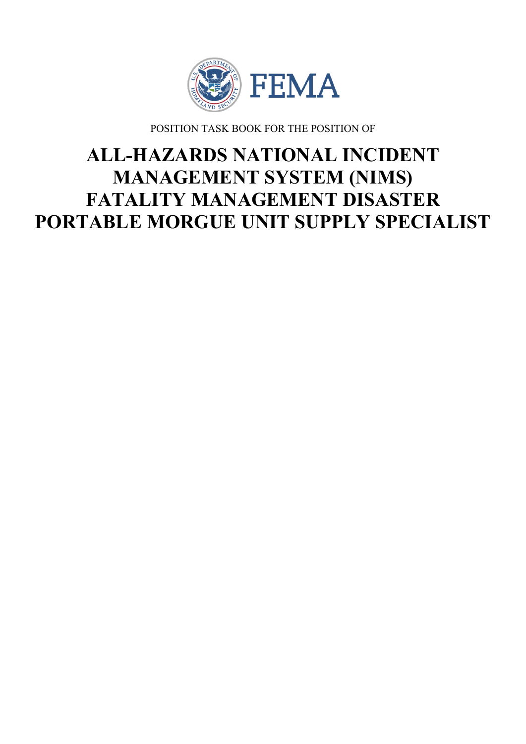

POSITION TASK BOOK FOR THE POSITION OF

# **ALL-HAZARDS NATIONAL INCIDENT MANAGEMENT SYSTEM (NIMS) FATALITY MANAGEMENT DISASTER PORTABLE MORGUE UNIT SUPPLY SPECIALIST**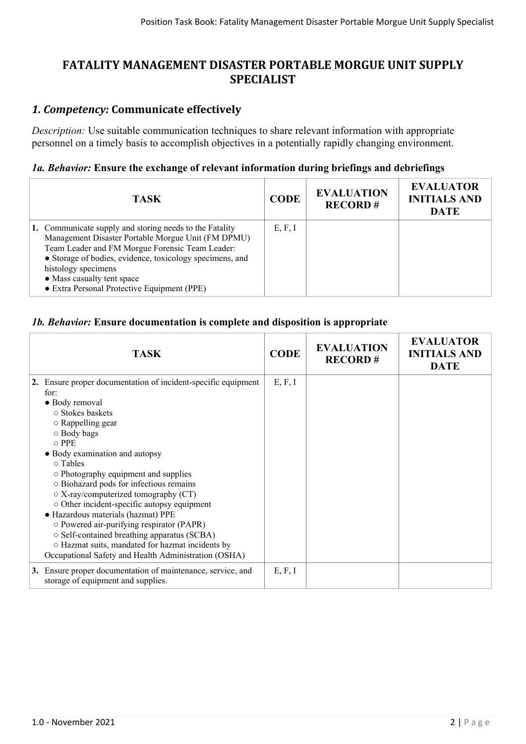# **FATALITY MANAGEMENT DISASTER PORTABLE MORGUE UNIT SUPPLY SPECIALIST**

## *1. Competency:* **Communicate effectively**

*Description:* Use suitable communication techniques to share relevant information with appropriate personnel on a timely basis to accomplish objectives in a potentially rapidly changing environment.

#### *1a. Behavior:* **Ensure the exchange of relevant information during briefings and debriefings**

| TASK.                                                                                                                                                                                                                                                                                                                            | <b>CODE</b> | <b>EVALUATION</b><br><b>RECORD#</b> | <b>EVALUATOR</b><br><b>INITIALS AND</b><br><b>DATE</b> |
|----------------------------------------------------------------------------------------------------------------------------------------------------------------------------------------------------------------------------------------------------------------------------------------------------------------------------------|-------------|-------------------------------------|--------------------------------------------------------|
| 1. Communicate supply and storing needs to the Fatality<br>Management Disaster Portable Morgue Unit (FM DPMU)<br>Team Leader and FM Morgue Forensic Team Leader:<br>• Storage of bodies, evidence, toxicology specimens, and<br>histology specimens<br>• Mass casualty tent space<br>• Extra Personal Protective Equipment (PPE) | E, F, I     |                                     |                                                        |

### *1b. Behavior:* **Ensure documentation is complete and disposition is appropriate**

| <b>TASK</b>                                                                                                                                                                                                                                                                                                                                                                                                                                  | <b>CODE</b> | <b>EVALUATION</b><br><b>RECORD#</b> | <b>EVALUATOR</b><br><b>INITIALS AND</b><br><b>DATE</b> |
|----------------------------------------------------------------------------------------------------------------------------------------------------------------------------------------------------------------------------------------------------------------------------------------------------------------------------------------------------------------------------------------------------------------------------------------------|-------------|-------------------------------------|--------------------------------------------------------|
| 2. Ensure proper documentation of incident-specific equipment<br>for:<br>• Body removal<br>○ Stokes baskets<br>$\circ$ Rappelling gear<br>○ Body bags<br>$\circ$ PPE<br>• Body examination and autopsy                                                                                                                                                                                                                                       | E, F, I     |                                     |                                                        |
| $\circ$ Tables<br>• Photography equipment and supplies<br>○ Biohazard pods for infectious remains<br>$\circ$ X-ray/computerized tomography (CT)<br>o Other incident-specific autopsy equipment<br>· Hazardous materials (hazmat) PPE<br>o Powered air-purifying respirator (PAPR)<br>○ Self-contained breathing apparatus (SCBA)<br>o Hazmat suits, mandated for hazmat incidents by<br>Occupational Safety and Health Administration (OSHA) |             |                                     |                                                        |
| 3. Ensure proper documentation of maintenance, service, and<br>storage of equipment and supplies.                                                                                                                                                                                                                                                                                                                                            | E, F, I     |                                     |                                                        |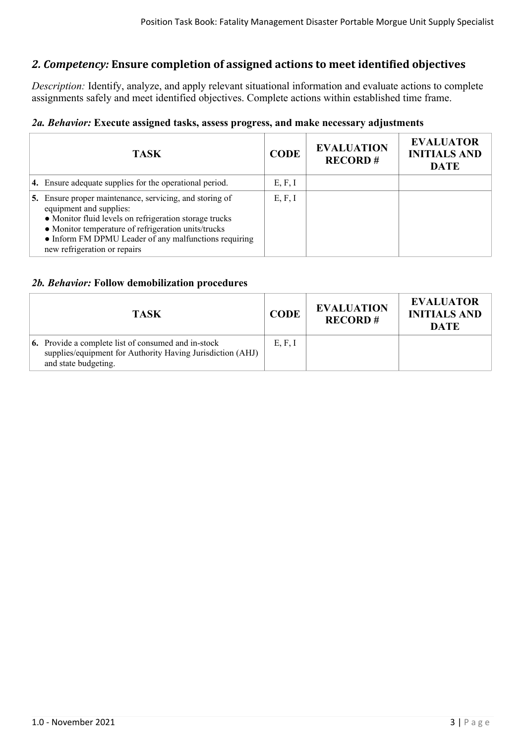## *2. Competency:* **Ensure completion of assigned actions to meet identified objectives**

*Description:* Identify, analyze, and apply relevant situational information and evaluate actions to complete assignments safely and meet identified objectives. Complete actions within established time frame.

#### *2a. Behavior:* **Execute assigned tasks, assess progress, and make necessary adjustments**

| <b>TASK</b>                                                                                                                                                                                                                                                                                  | <b>CODE</b> | <b>EVALUATION</b><br><b>RECORD#</b> | <b>EVALUATOR</b><br><b>INITIALS AND</b><br><b>DATE</b> |
|----------------------------------------------------------------------------------------------------------------------------------------------------------------------------------------------------------------------------------------------------------------------------------------------|-------------|-------------------------------------|--------------------------------------------------------|
| 4. Ensure adequate supplies for the operational period.                                                                                                                                                                                                                                      | E, F, I     |                                     |                                                        |
| 5. Ensure proper maintenance, servicing, and storing of<br>equipment and supplies:<br>• Monitor fluid levels on refrigeration storage trucks<br>• Monitor temperature of refrigeration units/trucks<br>• Inform FM DPMU Leader of any malfunctions requiring<br>new refrigeration or repairs | E, F, I     |                                     |                                                        |

#### *2b. Behavior:* **Follow demobilization procedures**

| <b>TASK</b>                                                                                                                                      | <b>CODE</b> | <b>EVALUATION</b><br><b>RECORD#</b> | <b>EVALUATOR</b><br><b>INITIALS AND</b><br><b>DATE</b> |
|--------------------------------------------------------------------------------------------------------------------------------------------------|-------------|-------------------------------------|--------------------------------------------------------|
| <b>6.</b> Provide a complete list of consumed and in-stock<br>supplies/equipment for Authority Having Jurisdiction (AHJ)<br>and state budgeting. | E, F, I     |                                     |                                                        |